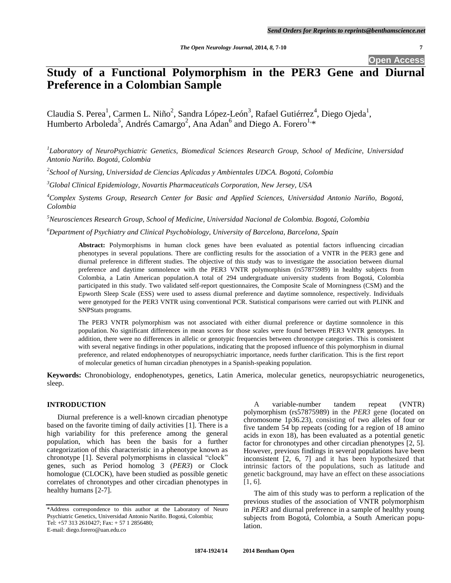**Open Access**

# **Study of a Functional Polymorphism in the PER3 Gene and Diurnal Preference in a Colombian Sample**

Claudia S. Perea<sup>1</sup>, Carmen L. Niño<sup>2</sup>, Sandra López-León<sup>3</sup>, Rafael Gutiérrez<sup>4</sup>, Diego Ojeda<sup>1</sup>, Humberto Arboleda<sup>5</sup>, Andrés Camargo<sup>2</sup>, Ana Adan<sup>6</sup> and Diego A. Forero<sup>1,</sup>\*

*1 Laboratory of NeuroPsychiatric Genetics, Biomedical Sciences Research Group, School of Medicine, Universidad Antonio Nariño. Bogotá, Colombia*

*2 School of Nursing, Universidad de Ciencias Aplicadas y Ambientales UDCA. Bogotá, Colombia*

*<sup>3</sup>Global Clinical Epidemiology, Novartis Pharmaceuticals Corporation, New Jersey, USA*

*<sup>4</sup>Complex Systems Group, Research Center for Basic and Applied Sciences, Universidad Antonio Nariño, Bogotá, Colombia*

*<sup>5</sup>Neurosciences Research Group, School of Medicine, Universidad Nacional de Colombia. Bogotá, Colombia*

*<sup>6</sup>Department of Psychiatry and Clinical Psychobiology, University of Barcelona, Barcelona, Spain*

**Abstract:** Polymorphisms in human clock genes have been evaluated as potential factors influencing circadian phenotypes in several populations. There are conflicting results for the association of a VNTR in the PER3 gene and diurnal preference in different studies. The objective of this study was to investigate the association between diurnal preference and daytime somnolence with the PER3 VNTR polymorphism (rs57875989) in healthy subjects from Colombia, a Latin American population.A total of 294 undergraduate university students from Bogotá, Colombia participated in this study. Two validated self-report questionnaires, the Composite Scale of Morningness (CSM) and the Epworth Sleep Scale (ESS) were used to assess diurnal preference and daytime somnolence, respectively. Individuals were genotyped for the PER3 VNTR using conventional PCR. Statistical comparisons were carried out with PLINK and SNPStats programs.

The PER3 VNTR polymorphism was not associated with either diurnal preference or daytime somnolence in this population. No significant differences in mean scores for those scales were found between PER3 VNTR genotypes. In addition, there were no differences in allelic or genotypic frequencies between chronotype categories. This is consistent with several negative findings in other populations, indicating that the proposed influence of this polymorphism in diurnal preference, and related endophenotypes of neuropsychiatric importance, needs further clarification. This is the first report of molecular genetics of human circadian phenotypes in a Spanish-speaking population.

**Keywords:** Chronobiology, endophenotypes, genetics, Latin America, molecular genetics, neuropsychiatric neurogenetics, sleep.

# **INTRODUCTION**

Diurnal preference is a well-known circadian phenotype based on the favorite timing of daily activities [\[1\]](#page-3-0). There is a high variability for this preference among the general population, which has been the basis for a further categorization of this characteristic in a phenotype known as chronotype [\[1\]](#page-3-0). Several polymorphisms in classical "clock" genes, such as Period homolog 3 (*PER3*) or Clock homologue (CLOCK), have been studied as possible genetic correlates of chronotypes and other circadian phenotypes in healthy humans [\[2-7\]](#page-3-1).

A variable-number tandem repeat (VNTR) polymorphism (rs57875989) in the *PER3* gene (located on chromosome 1p36.23), consisting of two alleles of four or five tandem 54 bp repeats (coding for a region of 18 amino acids in exon 18), has been evaluated as a potential genetic factor for chronotypes and other circadian phenotypes [\[2,](#page-3-1) [5\]](#page-3-2). However, previous findings in several populations have been inconsistent [\[2,](#page-3-1) [6,](#page-3-3) [7\]](#page-3-4) and it has been hypothesized that intrinsic factors of the populations, such as latitude and genetic background, may have an effect on these associations [\[1,](#page-3-0) [6\]](#page-3-3).

The aim of this study was to perform a replication of the previous studies of the association of VNTR polymorphism in *PER3* and diurnal preference in a sample of healthy young subjects from Bogotá, Colombia, a South American population.

<sup>\*</sup>Address correspondence to this author at the Laboratory of Neuro Psychiatric Genetics, Universidad Antonio Nariño. Bogotá, Colombia; Tel: +57 313 2610427; Fax: + 57 1 2856480; E-mail: diego.forero@uan.edu.co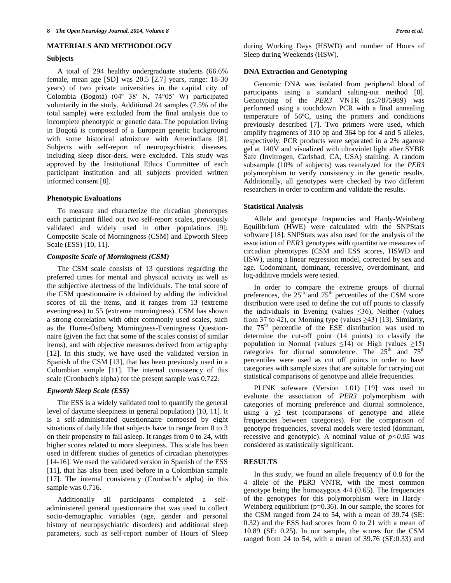# **MATERIALS AND METHODOLOGY**

## **Subjects**

A total of 294 healthy undergraduate students (66.6% female, mean age [SD] was 20.5 [2.7] years, range: 18-30 years) of two private universities in the capital city of Colombia (Bogotá) (04º 38′ N, 74°05′ W) participated voluntarily in the study. Additional 24 samples (7.5% of the total sample) were excluded from the final analysis due to incomplete phenotypic or genetic data. The population living in Bogotá is composed of a European genetic background with some historical admixture with Amerindians [8]. Subjects with self-report of neuropsychiatric diseases, including sleep disor-ders, were excluded. This study was approved by the Institutional Ethics Committee of each participant institution and all subjects provided written informed consent [\[8\]](#page-3-5).

## **Phenotypic Evaluations**

To measure and characterize the circadian phenotypes each participant filled out two self-report scales, previously validated and widely used in other populations [9]: Composite Scale of Morningness (CSM) and Epworth Sleep Scale (ESS) [\[10,](#page-3-6) [11\]](#page-3-7).

# *Composite Scale of Morningness (CSM)*

The CSM scale consists of 13 questions regarding the preferred times for mental and physical activity as well as the subjective alertness of the individuals. The total score of the CSM questionnaire is obtained by adding the individual scores of all the items, and it ranges from 13 (extreme eveningness) to 55 (extreme morningness). CSM has shown a strong correlation with other commonly used scales, such as the Horne-Östberg Morningness-Eveningness Questionnaire (given the fact that some of the scales consist of similar items), and with objective measures derived from actigraphy [\[12\]](#page-3-8). In this study, we have used the validated version in Spanish of the CSM [\[13\]](#page-3-9), that has been previously used in a Colombian sample [11]. The internal consistency of this scale (Cronbach's alpha) for the present sample was 0.722.

# *Epworth Sleep Scale (ESS)*

The ESS is a widely validated tool to quantify the general level of daytime sleepiness in general population) [\[10,](#page-3-6) [11\]](#page-3-7). It is a self-administrated questionnaire composed by eight situations of daily life that subjects have to range from 0 to 3 on their propensity to fall asleep. It ranges from 0 to 24, with higher scores related to more sleepiness. This scale has been used in different studies of genetics of circadian phenotypes [\[14-16\]](#page-3-10). We used the validated version in Spanish of the ESS [11], that has also been used before in a Colombian sample [17]. The internal consistency (Cronbach's alpha) in this sample was 0.716.

Additionally all participants completed a selfadministered general questionnaire that was used to collect socio-demographic variables (age, gender and personal history of neuropsychiatric disorders) and additional sleep parameters, such as self-report number of Hours of Sleep during Working Days (HSWD) and number of Hours of Sleep during Weekends (HSW).

#### **DNA Extraction and Genotyping**

Genomic DNA was isolated from peripheral blood of participants using a standard salting-out method [\[8\]](#page-3-5). Genotyping of the *PER3* VNTR (rs57875989) was performed using a touchdown PCR with a final annealing temperature of 56ºC, using the primers and conditions previously described [\[7\]](#page-3-4). Two primers were used, which amplify fragments of 310 bp and 364 bp for 4 and 5 alleles, respectively. PCR products were separated in a 2% agarose gel at 140V and visualized with ultraviolet light after SYBR Safe (Invitrogen, Carlsbad, CA, USA) staining. A random subsample (10% of subjects) was reanalyzed for the *PER3* polymorphism to verify consistency in the genetic results. Additionally, all genotypes were checked by two different researchers in order to confirm and validate the results.

#### **Statistical Analysis**

Allele and genotype frequencies and Hardy-Weinberg Equilibrium (HWE) were calculated with the SNPStats software [\[18\]](#page-3-11). SNPStats was also used for the analysis of the association of *PER3* genotypes with quantitative measures of circadian phenotypes (CSM and ESS scores, HSWD and HSW), using a linear regression model, corrected by sex and age. Codominant, dominant, recessive, overdominant, and log-additive models were tested.

In order to compare the extreme groups of diurnal preferences, the  $25<sup>th</sup>$  and  $75<sup>th</sup>$  percentiles of the CSM score distribution were used to define the cut off points to classify the individuals in Evening (values  $\leq 36$ ), Neither (values from 37 to 42), or Morning type (values  $\geq$ 43) [\[13\]](#page-3-9). Similarly, the  $75<sup>th</sup>$  percentile of the ESE distribution was used to determine the cut-off point (14 points) to classify the population in Normal (values  $\leq 14$ ) or High (values  $\geq 15$ ) categories for diurnal somnolence. The  $25<sup>th</sup>$  and  $75<sup>th</sup>$ percentiles were used as cut off points in order to have categories with sample sizes that are suitable for carrying out statistical comparisons of genotype and allele frequencies.

PLINK sofeware (Version 1.01) [19] was used to evaluate the association of *PER3* polymorphism with categories of morning preference and diurnal somnolence, using a  $\chi$ 2 test (comparisons of genotype and allele frequencies between categories). For the comparison of genotype frequencies, several models were tested (dominant, recessive and genotypic). A nominal value of  $p < 0.05$  was considered as statistically significant.

# **RESULTS**

In this study, we found an allele frequency of 0.8 for the 4 allele of the PER3 VNTR, with the most common genotype being the homozygous 4/4 (0.65). The frequencies of the genotypes for this polymorphism were in Hardy– Weinberg equilibrium ( $p=0.36$ ). In our sample, the scores for the CSM ranged from 24 to 54, with a mean of 39.74 (SE: 0.32) and the ESS had scores from 0 to 21 with a mean of 10.89 (SE: 0.25). In our sample, the scores for the CSM ranged from 24 to 54, with a mean of 39.76 (SE:0.33) and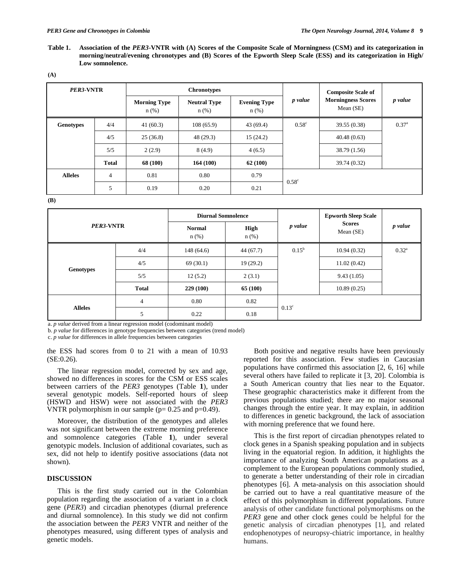**Table 1. Association of the** *PER3***-VNTR with (A) Scores of the Composite Scale of Morningness (CSM) and its categorization in morning/neutral/evening chronotypes and (B) Scores of the Epworth Sleep Scale (ESS) and its categorization in High/ Low somnolence.** 

| <b>PER3-VNTR</b> |                | <b>Chronotypes</b>             |                                |                                |                | <b>Composite Scale of</b>              |                |
|------------------|----------------|--------------------------------|--------------------------------|--------------------------------|----------------|----------------------------------------|----------------|
|                  |                | <b>Morning Type</b><br>$n$ (%) | <b>Neutral Type</b><br>$n$ (%) | <b>Evening Type</b><br>$n$ (%) | p value        | <b>Morningness Scores</b><br>Mean (SE) | p value        |
| <b>Genotypes</b> | 4/4            | 41(60.3)                       | 108(65.9)                      | 43(69.4)                       | $0.58^{\circ}$ | 39.55 (0.38)                           | $0.37^{\rm a}$ |
|                  | 4/5            | 25(36.8)                       | 48(29.3)                       | 15(24.2)                       |                | 40.48(0.63)                            |                |
|                  | 5/5            | 2(2.9)                         | 8(4.9)                         | 4(6.5)                         |                | 38.79 (1.56)                           |                |
|                  | <b>Total</b>   | 68 (100)                       | 164(100)                       | 62(100)                        |                | 39.74 (0.32)                           |                |
| <b>Alleles</b>   | $\overline{4}$ | 0.81                           | 0.80                           | 0.79                           | $0.58^{\circ}$ |                                        |                |
|                  | 5              | 0.19                           | 0.20                           | 0.21                           |                |                                        |                |

**(B)**

|                | <b>Diurnal Somnolence</b> |                                                                    |                | <b>Epworth Sleep Scale</b>   |                |
|----------------|---------------------------|--------------------------------------------------------------------|----------------|------------------------------|----------------|
| PER3-VNTR      | <b>Normal</b><br>$n$ (%)  | <b>High</b><br>$n$ (%)                                             | p value        | <b>Scores</b><br>Mean $(SE)$ | p value        |
| 4/4            | 148(64.6)                 | 44(67.7)                                                           | $0.15^{\rm b}$ | 10.94(0.32)                  | $0.32^{\rm a}$ |
| 4/5            | 69(30.1)                  | 19(29.2)                                                           |                | 11.02(0.42)                  |                |
| 5/5            | 12(5.2)                   | 2(3.1)                                                             |                | 9.43(1.05)                   |                |
| <b>Total</b>   | 229(100)                  | 65 (100)                                                           |                | 10.89(0.25)                  |                |
| $\overline{4}$ | 0.80                      | 0.82                                                               |                |                              |                |
| 5              | 0.22                      | 0.18                                                               |                |                              |                |
|                |                           | a nuglig derived from a linear regression model (codominant model) |                | $0.13^{\circ}$               |                |

a. *p value* derived from a linear regression model (codominant model)

b. *p value* for differences in genotype frequencies between categories (trend model)

c. *p value* for differences in allele frequencies between categories

the ESS had scores from 0 to 21 with a mean of 10.93 (SE:0.26).

The linear regression model, corrected by sex and age, showed no differences in scores for the CSM or ESS scales between carriers of the *PER3* genotypes (Table **1**), under several genotypic models. Self-reported hours of sleep (HSWD and HSW) were not associated with the *PER3* VNTR polymorphism in our sample ( $p= 0.25$  and  $p=0.49$ ).

Moreover, the distribution of the genotypes and alleles was not significant between the extreme morning preference and somnolence categories (Table **1**), under several genotypic models. Inclusion of additional covariates, such as sex, did not help to identify positive associations (data not shown).

# **DISCUSSION**

This is the first study carried out in the Colombian population regarding the association of a variant in a clock gene (*PER3*) and circadian phenotypes (diurnal preference and diurnal somnolence). In this study we did not confirm the association between the *PER3* VNTR and neither of the phenotypes measured, using different types of analysis and genetic models.

Both positive and negative results have been previously reported for this association. Few studies in Caucasian populations have confirmed this association [2, 6, 16] while several others have failed to replicate it [3, 20]. Colombia is a South American country that lies near to the Equator. These geographic characteristics make it different from the previous populations studied; there are no major seasonal changes through the entire year. It may explain, in addition to differences in genetic background, the lack of association with morning preference that we found here.

This is the first report of circadian phenotypes related to clock genes in a Spanish speaking population and in subjects living in the equatorial region. In addition, it highlights the importance of analyzing South American populations as a complement to the European populations commonly studied, to generate a better understanding of their role in circadian phenotypes [\[6\]](#page-3-3). A meta-analysis on this association should be carried out to have a real quantitative measure of the effect of this polymorphism in different populations. Future analysis of other candidate functional polymorphisms on the *PER3* gene and other clock genes could be helpful for the genetic analysis of circadian phenotypes [\[1\]](#page-3-0), and related endophenotypes of neuropsy-chiatric importance, in healthy humans.